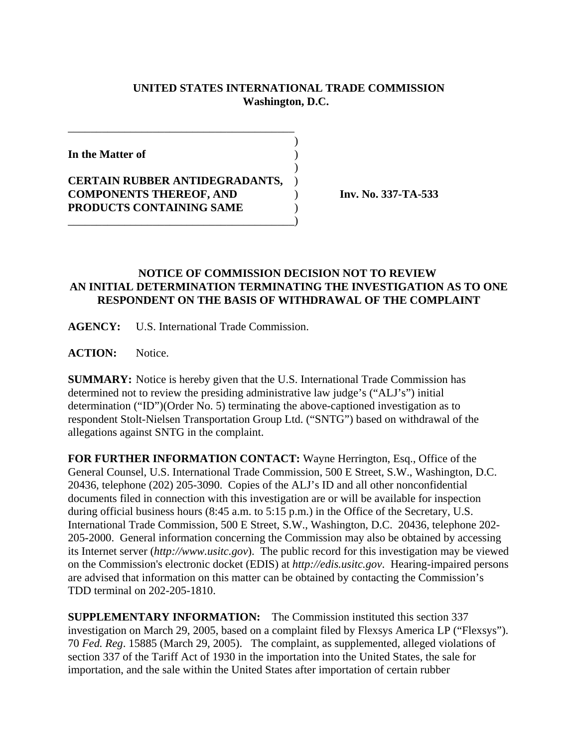## **UNITED STATES INTERNATIONAL TRADE COMMISSION Washington, D.C.**

 $\overline{\phantom{a}}$ 

 $\overline{\phantom{a}}$ 

**In the Matter of** )

**CERTAIN RUBBER ANTIDEGRADANTS,** ) **COMPONENTS THEREOF, AND** ) **Inv. No. 337-TA-533 PRODUCTS CONTAINING SAME** )

\_\_\_\_\_\_\_\_\_\_\_\_\_\_\_\_\_\_\_\_\_\_\_\_\_\_\_\_\_\_\_\_\_\_\_\_\_\_\_\_)

\_\_\_\_\_\_\_\_\_\_\_\_\_\_\_\_\_\_\_\_\_\_\_\_\_\_\_\_\_\_\_\_\_\_\_\_\_\_\_\_

## **NOTICE OF COMMISSION DECISION NOT TO REVIEW AN INITIAL DETERMINATION TERMINATING THE INVESTIGATION AS TO ONE RESPONDENT ON THE BASIS OF WITHDRAWAL OF THE COMPLAINT**

**AGENCY:** U.S. International Trade Commission.

**ACTION:** Notice.

**SUMMARY:** Notice is hereby given that the U.S. International Trade Commission has determined not to review the presiding administrative law judge's ("ALJ's") initial determination ("ID")(Order No. 5) terminating the above-captioned investigation as to respondent Stolt-Nielsen Transportation Group Ltd. ("SNTG") based on withdrawal of the allegations against SNTG in the complaint.

**FOR FURTHER INFORMATION CONTACT:** Wayne Herrington, Esq., Office of the General Counsel, U.S. International Trade Commission, 500 E Street, S.W., Washington, D.C. 20436, telephone (202) 205-3090. Copies of the ALJ's ID and all other nonconfidential documents filed in connection with this investigation are or will be available for inspection during official business hours (8:45 a.m. to 5:15 p.m.) in the Office of the Secretary, U.S. International Trade Commission, 500 E Street, S.W., Washington, D.C. 20436, telephone 202- 205-2000. General information concerning the Commission may also be obtained by accessing its Internet server (*http://www.usitc.gov*). The public record for this investigation may be viewed on the Commission's electronic docket (EDIS) at *http://edis.usitc.gov*. Hearing-impaired persons are advised that information on this matter can be obtained by contacting the Commission's TDD terminal on 202-205-1810.

**SUPPLEMENTARY INFORMATION:** The Commission instituted this section 337 investigation on March 29, 2005, based on a complaint filed by Flexsys America LP ("Flexsys"). 70 *Fed. Reg*. 15885 (March 29, 2005). The complaint, as supplemented, alleged violations of section 337 of the Tariff Act of 1930 in the importation into the United States, the sale for importation, and the sale within the United States after importation of certain rubber